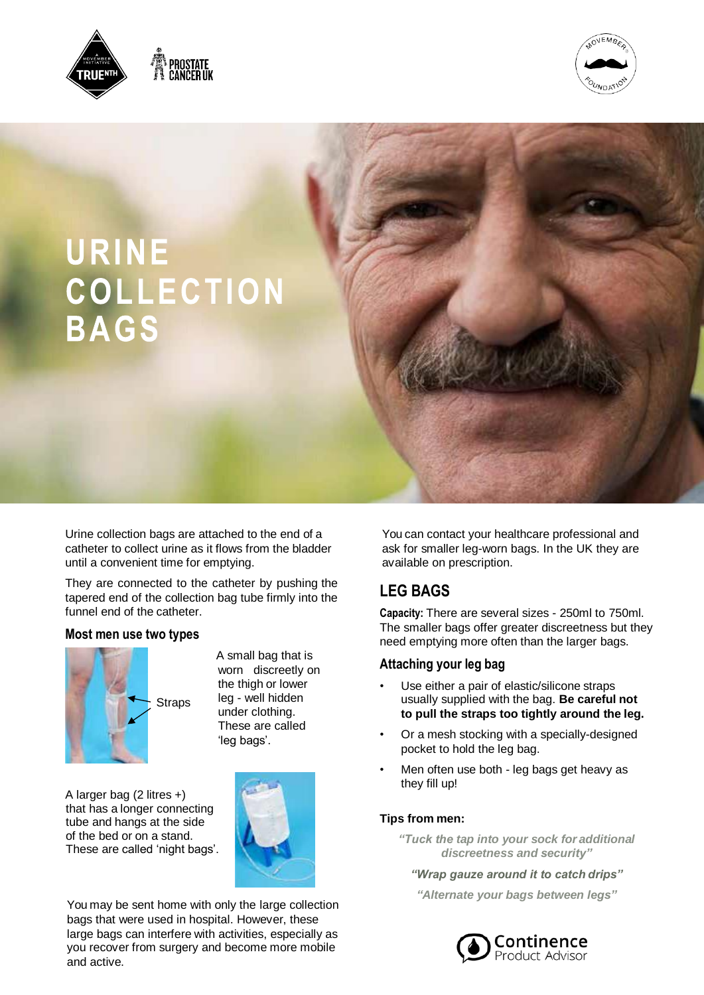





Urine collection bags are attached to the end of a catheter to collect urine as it flows from the bladder until a convenient time for emptying.

They are connected to the catheter by pushing the tapered end of the collection bag tube firmly into the funnel end of the catheter.

### **Most men use two types**



 A small bag that is worn discreetly on the thigh or lower leg - well hidden under clothing. These are called 'leg bags'.

 A larger bag (2 litres +) that has a longer connecting tube and hangs at the side of the bed or on a stand. These are called 'night bags'.



You may be sent home with only the large collection bags that were used in hospital. However, these large bags can interfere with activities, especially as you recover from surgery and become more mobile and active.

You can contact your healthcare professional and ask for smaller leg-worn bags. In the UK they are available on prescription.

# **LEG BAGS**

**Capacity:** There are several sizes - 250ml to 750ml. The smaller bags offer greater discreetness but they need emptying more often than the larger bags.

### **Attaching your leg bag**

- Use either a pair of elastic/silicone straps usually supplied with the bag. **Be careful not to pull the straps too tightly around the leg.**
- Or a mesh stocking with a specially-designed pocket to hold the leg bag.
- Men often use both leg bags get heavy as they fill up!

#### **Tips from men:**

- *"Tuck the tap into your sock for additional discreetness and security"*
	- *"Wrap gauze around it to catch drips"*
	- *"Alternate your bags between legs"*

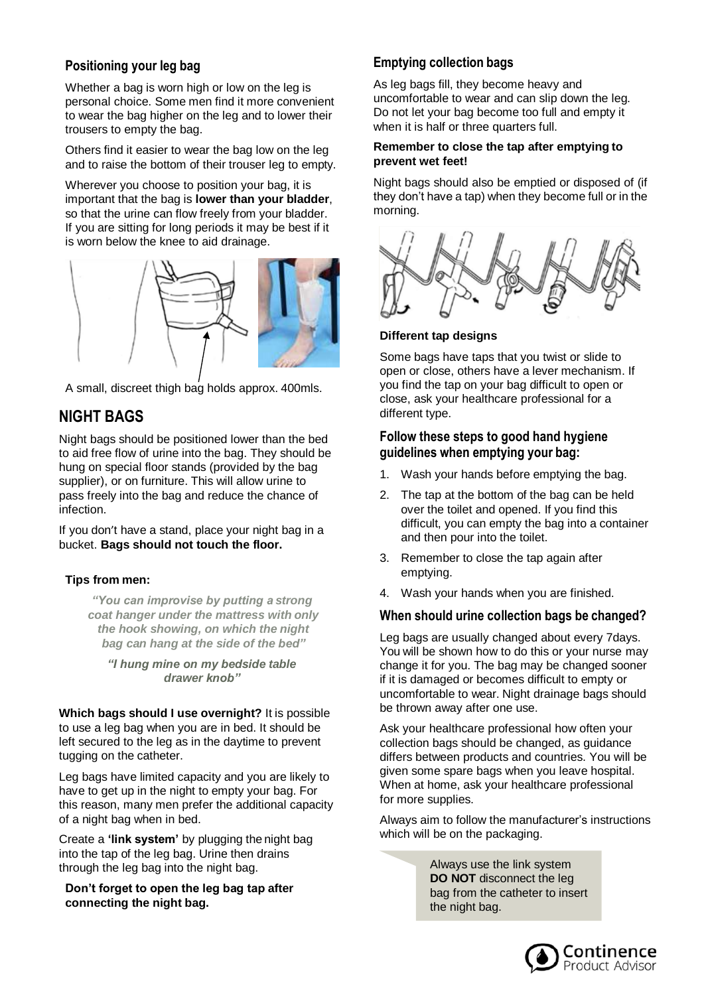# **Positioning your leg bag**

Whether a bag is worn high or low on the leg is personal choice. Some men find it more convenient to wear the bag higher on the leg and to lower their trousers to empty the bag.

Others find it easier to wear the bag low on the leg and to raise the bottom of their trouser leg to empty.

Wherever you choose to position your bag, it is important that the bag is **lower than your bladder**, so that the urine can flow freely from your bladder. If you are sitting for long periods it may be best if it is worn below the knee to aid drainage.



A small, discreet thigh bag holds approx. 400mls.

# **NIGHT BAGS**

Night bags should be positioned lower than the bed to aid free flow of urine into the bag. They should be hung on special floor stands (provided by the bag supplier), or on furniture. This will allow urine to pass freely into the bag and reduce the chance of infection.

If you don't have a stand, place your night bag in a bucket. **Bags should not touch the floor.**

### **Tips from men:**

*"You can improvise by putting a strong coat hanger under the mattress with only the hook showing, on which the night bag can hang at the side of the bed"*

*"I hung mine on my bedside table drawer knob"*

**Which bags should I use overnight?** It is possible to use a leg bag when you are in bed. It should be left secured to the leg as in the daytime to prevent tugging on the catheter.

Leg bags have limited capacity and you are likely to have to get up in the night to empty your bag. For this reason, many men prefer the additional capacity of a night bag when in bed.

Create a **'link system'** by plugging the night bag into the tap of the leg bag. Urine then drains through the leg bag into the night bag.

**Don't forget to open the leg bag tap after connecting the night bag.**

# **Emptying collection bags**

As leg bags fill, they become heavy and uncomfortable to wear and can slip down the leg. Do not let your bag become too full and empty it when it is half or three quarters full.

#### **Remember to close the tap after emptying to prevent wet feet!**

Night bags should also be emptied or disposed of (if they don't have a tap) when they become full or in the morning.



### **Different tap designs**

Some bags have taps that you twist or slide to open or close, others have a lever mechanism. If you find the tap on your bag difficult to open or close, ask your healthcare professional for a different type.

### **Follow these steps to good hand hygiene guidelines when emptying your bag:**

- 1. Wash your hands before emptying the bag.
- 2. The tap at the bottom of the bag can be held over the toilet and opened. If you find this difficult, you can empty the bag into a container and then pour into the toilet.
- 3. Remember to close the tap again after emptying.
- 4. Wash your hands when you are finished.

# **When should urine collection bags be changed?**

Leg bags are usually changed about every 7days. You will be shown how to do this or your nurse may change it for you. The bag may be changed sooner if it is damaged or becomes difficult to empty or uncomfortable to wear. Night drainage bags should be thrown away after one use.

Ask your healthcare professional how often your collection bags should be changed, as guidance differs between products and countries. You will be given some spare bags when you leave hospital. When at home, ask your healthcare professional for more supplies.

Always aim to follow the manufacturer's instructions which will be on the packaging.

> Always use the link system **DO NOT** disconnect the leg bag from the catheter to insert the night bag.